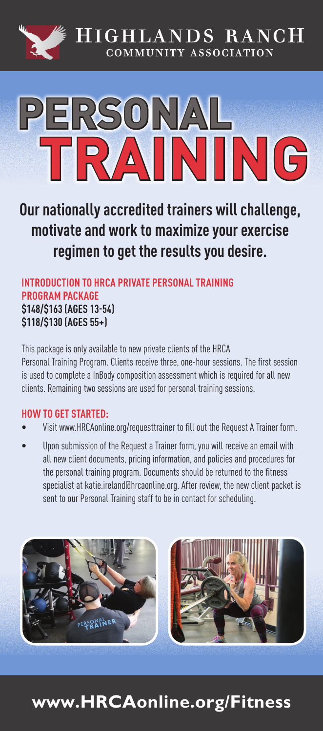



**Our nationally accredited trainers will challenge, motivate and work to maximize your exercise regimen to get the results you desire.** 

**INTRODUCTION TO HRCA PRIVATE PERSONAL TRAINING PROGRAM PACKAGE \$148/\$163 (AGES 13-54) \$118/\$130 (AGES 55+)**

This package is only available to new private clients of the HRCA Personal Training Program. Clients receive three, one-hour sessions. The first session is used to complete a InBody composition assessment which is required for all new clients. Remaining two sessions are used for personal training sessions.

#### **HOW TO GET STARTED:**

- Visit www.HRCAonline.org/requesttrainer to fill out the Request A Trainer form.
- Upon submission of the Request a Trainer form, you will receive an email with all new client documents, pricing information, and policies and procedures for the personal training program. Documents should be returned to the fitness specialist at katie.ireland@hrcaonline.org. After review, the new client packet is sent to our Personal Training staff to be in contact for scheduling.



# **www.HRCAonline.org/Fitness**